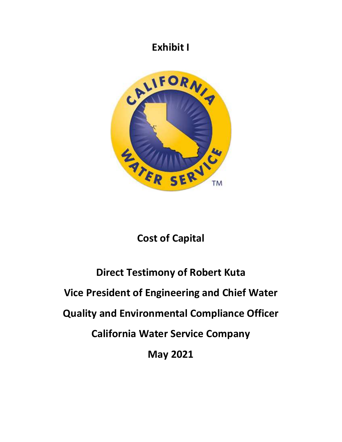# **Exhibit I**



# **Cost of Capital**

# **Direct Testimony of Robert Kuta Vice President of Engineering and Chief Water Quality and Environmental Compliance Officer California Water Service Company May 2021**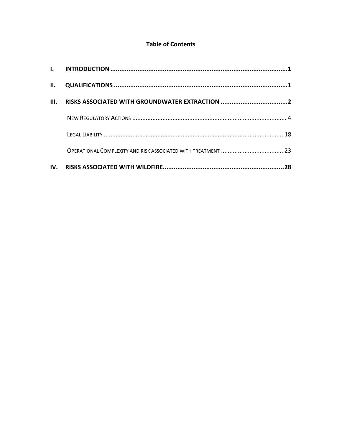### **Table of Contents**

| $\Pi$ . | QUALIFICATIONS …………………………………………………………………………………………1 |    |
|---------|----------------------------------------------------|----|
| III.    |                                                    |    |
|         |                                                    |    |
|         |                                                    |    |
|         |                                                    |    |
|         |                                                    | 28 |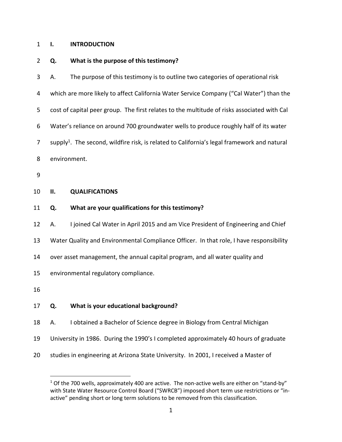#### <span id="page-2-0"></span>1 **I. INTRODUCTION**

 $\overline{a}$ 

#### 2 **Q. What is the purpose of this testimony?**

<span id="page-2-1"></span>3 A. The purpose of this testimony is to outline two categories of operational risk 4 which are more likely to affect California Water Service Company ("Cal Water") than the 5 cost of capital peer group. The first relates to the multitude of risks associated with Cal 6 Water's reliance on around 700 groundwater wells to produce roughly half of its water 7 supply<sup>1</sup>. The second, wildfire risk, is related to California's legal framework and natural 8 environment. 9 10 **II. QUALIFICATIONS**  11 **Q. What are your qualifications for this testimony?**  12 A. I joined Cal Water in April 2015 and am Vice President of Engineering and Chief 13 Water Quality and Environmental Compliance Officer. In that role, I have responsibility 14 over asset management, the annual capital program, and all water quality and 15 environmental regulatory compliance. 16 17 **Q. What is your educational background?**  18 A. I obtained a Bachelor of Science degree in Biology from Central Michigan 19 University in 1986. During the 1990's I completed approximately 40 hours of graduate

20 studies in engineering at Arizona State University. In 2001, I received a Master of

 $1$  Of the 700 wells, approximately 400 are active. The non-active wells are either on "stand-by" with State Water Resource Control Board ("SWRCB") imposed short term use restrictions or "inactive" pending short or long term solutions to be removed from this classification.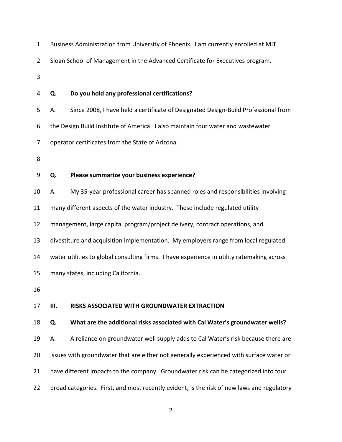<span id="page-3-0"></span>

| $\mathbf{1}$   |    | Business Administration from University of Phoenix. I am currently enrolled at MIT         |
|----------------|----|--------------------------------------------------------------------------------------------|
| $\overline{2}$ |    | Sloan School of Management in the Advanced Certificate for Executives program.             |
| 3              |    |                                                                                            |
| 4              | Q. | Do you hold any professional certifications?                                               |
| 5              | А. | Since 2008, I have held a certificate of Designated Design-Build Professional from         |
| 6              |    | the Design Build Institute of America. I also maintain four water and wastewater           |
| 7              |    | operator certificates from the State of Arizona.                                           |
| 8              |    |                                                                                            |
| 9              | Q. | Please summarize your business experience?                                                 |
| 10             | Α. | My 35-year professional career has spanned roles and responsibilities involving            |
| 11             |    | many different aspects of the water industry. These include regulated utility              |
| 12             |    | management, large capital program/project delivery, contract operations, and               |
| 13             |    | divestiture and acquisition implementation. My employers range from local regulated        |
| 14             |    | water utilities to global consulting firms. I have experience in utility ratemaking across |
| 15             |    | many states, including California.                                                         |
| 16             |    |                                                                                            |
| 17             | Ш. | RISKS ASSOCIATED WITH GROUNDWATER EXTRACTION                                               |
| 18             | Q. | What are the additional risks associated with Cal Water's groundwater wells?               |
| 19             | А. | A reliance on groundwater well supply adds to Cal Water's risk because there are           |
| 20             |    | issues with groundwater that are either not generally experienced with surface water or    |
| 21             |    | have different impacts to the company. Groundwater risk can be categorized into four       |
| 22             |    | broad categories. First, and most recently evident, is the risk of new laws and regulatory |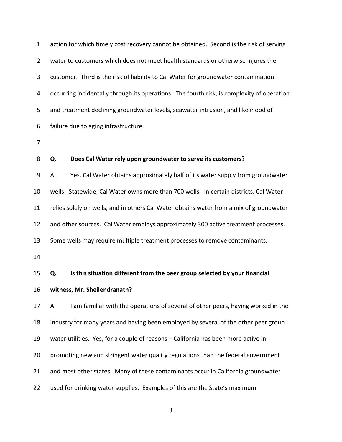| $\mathbf 1$    | action for which timely cost recovery cannot be obtained. Second is the risk of serving    |
|----------------|--------------------------------------------------------------------------------------------|
| $\overline{2}$ | water to customers which does not meet health standards or otherwise injures the           |
| 3              | customer. Third is the risk of liability to Cal Water for groundwater contamination        |
| 4              | occurring incidentally through its operations. The fourth risk, is complexity of operation |
| 5              | and treatment declining groundwater levels, seawater intrusion, and likelihood of          |
| 6              | failure due to aging infrastructure.                                                       |
| 7              |                                                                                            |
| 8              | Does Cal Water rely upon groundwater to serve its customers?<br>Q.                         |
| 9              | Yes. Cal Water obtains approximately half of its water supply from groundwater<br>А.       |
| 10             | wells. Statewide, Cal Water owns more than 700 wells. In certain districts, Cal Water      |
| 11             | relies solely on wells, and in others Cal Water obtains water from a mix of groundwater    |
| 12             | and other sources. Cal Water employs approximately 300 active treatment processes.         |
| 13             | Some wells may require multiple treatment processes to remove contaminants.                |
| 14             |                                                                                            |
| 15             | Is this situation different from the peer group selected by your financial<br>Q.           |
| 16             | witness, Mr. Sheilendranath?                                                               |
| 17             | I am familiar with the operations of several of other peers, having worked in the<br>А.    |
| 18             | industry for many years and having been employed by several of the other peer group        |
| 19             | water utilities. Yes, for a couple of reasons - California has been more active in         |
| 20             | promoting new and stringent water quality regulations than the federal government          |
| 21             | and most other states. Many of these contaminants occur in California groundwater          |
| 22             | used for drinking water supplies. Examples of this are the State's maximum                 |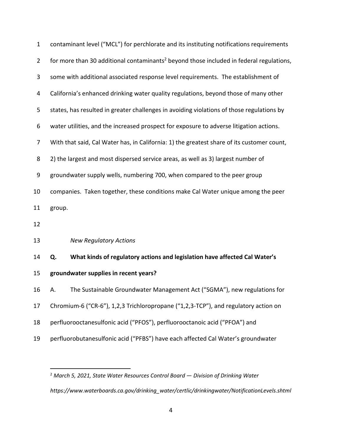| $\mathbf{1}$   | contaminant level ("MCL") for perchlorate and its instituting notifications requirements            |
|----------------|-----------------------------------------------------------------------------------------------------|
| $\overline{2}$ | for more than 30 additional contaminants <sup>2</sup> beyond those included in federal regulations, |
| 3              | some with additional associated response level requirements. The establishment of                   |
| 4              | California's enhanced drinking water quality regulations, beyond those of many other                |
| 5              | states, has resulted in greater challenges in avoiding violations of those regulations by           |
| 6              | water utilities, and the increased prospect for exposure to adverse litigation actions.             |
| $\overline{7}$ | With that said, Cal Water has, in California: 1) the greatest share of its customer count,          |
| 8              | 2) the largest and most dispersed service areas, as well as 3) largest number of                    |
| 9              | groundwater supply wells, numbering 700, when compared to the peer group                            |
| 10             | companies. Taken together, these conditions make Cal Water unique among the peer                    |
| 11             | group.                                                                                              |
| 12             |                                                                                                     |
| 13             | <b>New Regulatory Actions</b>                                                                       |
| 14             | What kinds of regulatory actions and legislation have affected Cal Water's<br>Q.                    |
| 15             | groundwater supplies in recent years?                                                               |
| 16             | The Sustainable Groundwater Management Act ("SGMA"), new regulations for                            |
| 17             | Chromium-6 ("CR-6"), 1,2,3 Trichloropropane ("1,2,3-TCP"), and regulatory action on                 |
| 18             | perfluorooctanesulfonic acid ("PFOS"), perfluorooctanoic acid ("PFOA") and                          |
| 19             | perfluorobutanesulfonic acid ("PFBS") have each affected Cal Water's groundwater                    |

<span id="page-5-0"></span> $\overline{a}$ 

<sup>2</sup> *March 5, 2021, State Water Resources Control Board — Division of Drinking Water https://www.waterboards.ca.gov/drinking\_water/certlic/drinkingwater/NotificationLevels.shtml*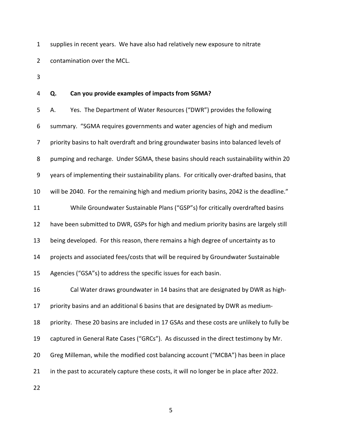1 supplies in recent years. We have also had relatively new exposure to nitrate 2 contamination over the MCL.

3

#### 4 **Q. Can you provide examples of impacts from SGMA?**

5 A. Yes. The Department of Water Resources ("DWR") provides the following 6 summary. "SGMA requires governments and water agencies of high and medium 7 priority basins to halt overdraft and bring groundwater basins into balanced levels of 8 pumping and recharge. Under SGMA, these basins should reach sustainability within 20 9 years of implementing their sustainability plans. For critically over-drafted basins, that 10 will be 2040. For the remaining high and medium priority basins, 2042 is the deadline." 11 While Groundwater Sustainable Plans ("GSP"s) for critically overdrafted basins 12 have been submitted to DWR, GSPs for high and medium priority basins are largely still 13 being developed. For this reason, there remains a high degree of uncertainty as to 14 projects and associated fees/costs that will be required by Groundwater Sustainable 15 Agencies ("GSA"s) to address the specific issues for each basin. 16 Cal Water draws groundwater in 14 basins that are designated by DWR as high-17 priority basins and an additional 6 basins that are designated by DWR as medium-18 priority. These 20 basins are included in 17 GSAs and these costs are unlikely to fully be 19 captured in General Rate Cases ("GRCs"). As discussed in the direct testimony by Mr. 20 Greg Milleman, while the modified cost balancing account ("MCBA") has been in place 21 in the past to accurately capture these costs, it will no longer be in place after 2022.

22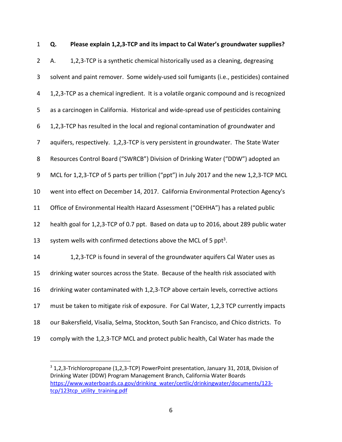| $\mathbf{1}$   | Q. | Please explain 1,2,3-TCP and its impact to Cal Water's groundwater supplies?             |
|----------------|----|------------------------------------------------------------------------------------------|
| $\overline{2}$ | А. | 1,2,3-TCP is a synthetic chemical historically used as a cleaning, degreasing            |
| 3              |    | solvent and paint remover. Some widely-used soil fumigants (i.e., pesticides) contained  |
| 4              |    | 1,2,3-TCP as a chemical ingredient. It is a volatile organic compound and is recognized  |
| 5              |    | as a carcinogen in California. Historical and wide-spread use of pesticides containing   |
| 6              |    | 1,2,3-TCP has resulted in the local and regional contamination of groundwater and        |
| 7              |    | aquifers, respectively. 1,2,3-TCP is very persistent in groundwater. The State Water     |
| 8              |    | Resources Control Board ("SWRCB") Division of Drinking Water ("DDW") adopted an          |
| 9              |    | MCL for 1,2,3-TCP of 5 parts per trillion ("ppt") in July 2017 and the new 1,2,3-TCP MCL |
| 10             |    | went into effect on December 14, 2017. California Environmental Protection Agency's      |
| 11             |    | Office of Environmental Health Hazard Assessment ("OEHHA") has a related public          |
| 12             |    | health goal for 1,2,3-TCP of 0.7 ppt. Based on data up to 2016, about 289 public water   |
| 13             |    | system wells with confirmed detections above the MCL of 5 ppt <sup>3</sup> .             |
| 14             |    | 1,2,3-TCP is found in several of the groundwater aquifers Cal Water uses as              |
| 15             |    | drinking water sources across the State. Because of the health risk associated with      |
| 16             |    | drinking water contaminated with 1,2,3-TCP above certain levels, corrective actions      |
| 17             |    | must be taken to mitigate risk of exposure. For Cal Water, 1,2,3 TCP currently impacts   |
| 18             |    | our Bakersfield, Visalia, Selma, Stockton, South San Francisco, and Chico districts. To  |
| 19             |    | comply with the 1,2,3-TCP MCL and protect public health, Cal Water has made the          |

<sup>&</sup>lt;sup>3</sup> 1,2,3-Trichloropropane (1,2,3-TCP) PowerPoint presentation, January 31, 2018, Division of Drinking Water (DDW) Program Management Branch, California Water Boards [https://www.waterboards.ca.gov/drinking\\_water/certlic/drinkingwater/documents/123](https://www.waterboards.ca.gov/drinking_water/certlic/drinkingwater/documents/123-tcp/123tcp_utility_training.pdf) [tcp/123tcp\\_utility\\_training.pdf](https://www.waterboards.ca.gov/drinking_water/certlic/drinkingwater/documents/123-tcp/123tcp_utility_training.pdf) 

 $\overline{a}$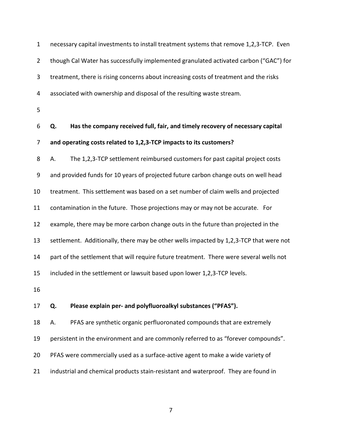| $\mathbf 1$    | necessary capital investments to install treatment systems that remove 1,2,3-TCP. Even  |
|----------------|-----------------------------------------------------------------------------------------|
| $\overline{2}$ | though Cal Water has successfully implemented granulated activated carbon ("GAC") for   |
| 3              | treatment, there is rising concerns about increasing costs of treatment and the risks   |
| 4              | associated with ownership and disposal of the resulting waste stream.                   |
| 5              |                                                                                         |
| 6              | Has the company received full, fair, and timely recovery of necessary capital<br>Q.     |
| 7              | and operating costs related to 1,2,3-TCP impacts to its customers?                      |
| 8              | The 1,2,3-TCP settlement reimbursed customers for past capital project costs<br>А.      |
| 9              | and provided funds for 10 years of projected future carbon change outs on well head     |
| 10             | treatment. This settlement was based on a set number of claim wells and projected       |
| 11             | contamination in the future. Those projections may or may not be accurate. For          |
| 12             | example, there may be more carbon change outs in the future than projected in the       |
| 13             | settlement. Additionally, there may be other wells impacted by 1,2,3-TCP that were not  |
| 14             | part of the settlement that will require future treatment. There were several wells not |
| 15             | included in the settlement or lawsuit based upon lower 1,2,3-TCP levels.                |
| 16             |                                                                                         |
| 17             | Please explain per- and polyfluoroalkyl substances ("PFAS").<br>Q.                      |
| 18             | PFAS are synthetic organic perfluoronated compounds that are extremely<br>А.            |
| 19             | persistent in the environment and are commonly referred to as "forever compounds".      |
| 20             | PFAS were commercially used as a surface-active agent to make a wide variety of         |
| 21             | industrial and chemical products stain-resistant and waterproof. They are found in      |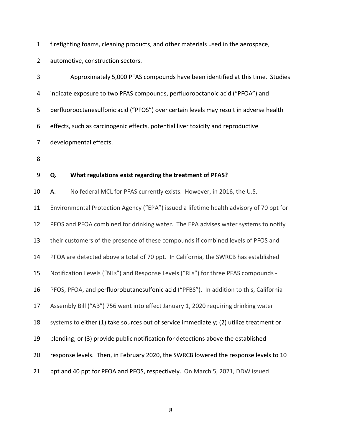1 firefighting foams, cleaning products, and other materials used in the aerospace,

2 automotive, construction sectors.

| 3  | Approximately 5,000 PFAS compounds have been identified at this time. Studies           |
|----|-----------------------------------------------------------------------------------------|
| 4  | indicate exposure to two PFAS compounds, perfluorooctanoic acid ("PFOA") and            |
| 5  | perfluorooctanesulfonic acid ("PFOS") over certain levels may result in adverse health  |
| 6  | effects, such as carcinogenic effects, potential liver toxicity and reproductive        |
| 7  | developmental effects.                                                                  |
| 8  |                                                                                         |
| 9  | What regulations exist regarding the treatment of PFAS?<br>Q.                           |
| 10 | No federal MCL for PFAS currently exists. However, in 2016, the U.S.<br>А.              |
| 11 | Environmental Protection Agency ("EPA") issued a lifetime health advisory of 70 ppt for |
| 12 | PFOS and PFOA combined for drinking water. The EPA advises water systems to notify      |
| 13 | their customers of the presence of these compounds if combined levels of PFOS and       |
| 14 | PFOA are detected above a total of 70 ppt. In California, the SWRCB has established     |
| 15 | Notification Levels ("NLs") and Response Levels ("RLs") for three PFAS compounds -      |
| 16 | PFOS, PFOA, and perfluorobutanesulfonic acid ("PFBS"). In addition to this, California  |
| 17 | Assembly Bill ("AB") 756 went into effect January 1, 2020 requiring drinking water      |
| 18 | systems to either (1) take sources out of service immediately; (2) utilize treatment or |
| 19 | blending; or (3) provide public notification for detections above the established       |
| 20 | response levels. Then, in February 2020, the SWRCB lowered the response levels to 10    |
| 21 | ppt and 40 ppt for PFOA and PFOS, respectively. On March 5, 2021, DDW issued            |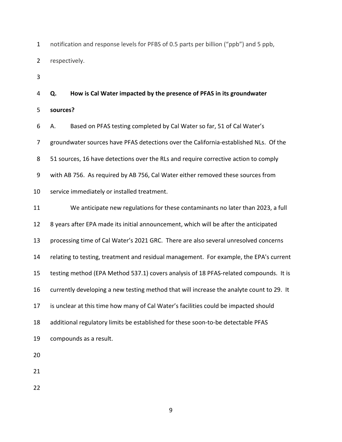1 notification and response levels for PFBS of 0.5 parts per billion ("ppb") and 5 ppb, 2 respectively.

3

# 4 **Q. How is Cal Water impacted by the presence of PFAS in its groundwater**  5 **sources?**  6 A. Based on PFAS testing completed by Cal Water so far, 51 of Cal Water's 7 groundwater sources have PFAS detections over the California-established NLs. Of the 8 51 sources, 16 have detections over the RLs and require corrective action to comply 9 with AB 756. As required by AB 756, Cal Water either removed these sources from 10 service immediately or installed treatment.

11 We anticipate new regulations for these contaminants no later than 2023, a full 12 8 years after EPA made its initial announcement, which will be after the anticipated 13 processing time of Cal Water's 2021 GRC. There are also several unresolved concerns 14 relating to testing, treatment and residual management. For example, the EPA's current 15 testing method (EPA Method 537.1) covers analysis of 18 PFAS-related compounds. It is 16 currently developing a new testing method that will increase the analyte count to 29. It 17 is unclear at this time how many of Cal Water's facilities could be impacted should 18 additional regulatory limits be established for these soon-to-be detectable PFAS 19 compounds as a result.

20

21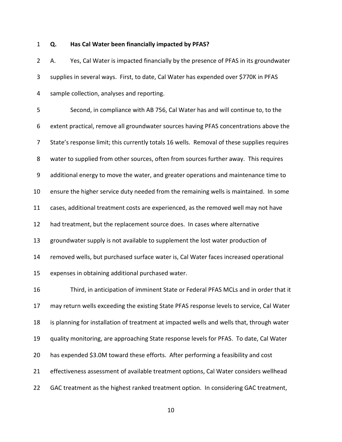#### 1 **Q. Has Cal Water been financially impacted by PFAS?**

2 A. Yes, Cal Water is impacted financially by the presence of PFAS in its groundwater 3 supplies in several ways. First, to date, Cal Water has expended over \$770K in PFAS 4 sample collection, analyses and reporting.

5 Second, in compliance with AB 756, Cal Water has and will continue to, to the 6 extent practical, remove all groundwater sources having PFAS concentrations above the 7 State's response limit; this currently totals 16 wells. Removal of these supplies requires 8 water to supplied from other sources, often from sources further away. This requires 9 additional energy to move the water, and greater operations and maintenance time to 10 ensure the higher service duty needed from the remaining wells is maintained. In some 11 cases, additional treatment costs are experienced, as the removed well may not have 12 had treatment, but the replacement source does. In cases where alternative 13 groundwater supply is not available to supplement the lost water production of 14 removed wells, but purchased surface water is, Cal Water faces increased operational 15 expenses in obtaining additional purchased water. 16 Third, in anticipation of imminent State or Federal PFAS MCLs and in order that it 17 may return wells exceeding the existing State PFAS response levels to service, Cal Water 18 is planning for installation of treatment at impacted wells and wells that, through water 19 quality monitoring, are approaching State response levels for PFAS. To date, Cal Water 20 has expended \$3.0M toward these efforts. After performing a feasibility and cost 21 effectiveness assessment of available treatment options, Cal Water considers wellhead

10

22 GAC treatment as the highest ranked treatment option. In considering GAC treatment,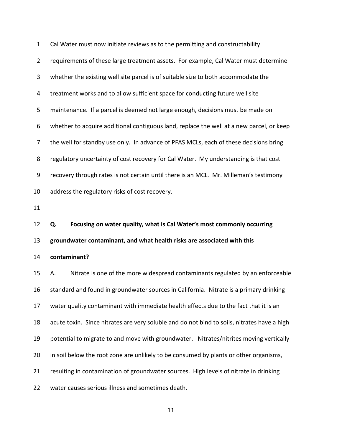| $\mathbf{1}$   | Cal Water must now initiate reviews as to the permitting and constructability               |
|----------------|---------------------------------------------------------------------------------------------|
| $\overline{2}$ | requirements of these large treatment assets. For example, Cal Water must determine         |
| 3              | whether the existing well site parcel is of suitable size to both accommodate the           |
| 4              | treatment works and to allow sufficient space for conducting future well site               |
| 5              | maintenance. If a parcel is deemed not large enough, decisions must be made on              |
| 6              | whether to acquire additional contiguous land, replace the well at a new parcel, or keep    |
| 7              | the well for standby use only. In advance of PFAS MCLs, each of these decisions bring       |
| 8              | regulatory uncertainty of cost recovery for Cal Water. My understanding is that cost        |
| 9              | recovery through rates is not certain until there is an MCL. Mr. Milleman's testimony       |
| 10             | address the regulatory risks of cost recovery.                                              |
| 11             |                                                                                             |
|                |                                                                                             |
| 12             | Focusing on water quality, what is Cal Water's most commonly occurring<br>Q.                |
| 13             | groundwater contaminant, and what health risks are associated with this                     |
| 14             | contaminant?                                                                                |
| 15             | Nitrate is one of the more widespread contaminants regulated by an enforceable<br>А.        |
| 16             | standard and found in groundwater sources in California. Nitrate is a primary drinking      |
| 17             | water quality contaminant with immediate health effects due to the fact that it is an       |
| 18             | acute toxin. Since nitrates are very soluble and do not bind to soils, nitrates have a high |
| 19             | potential to migrate to and move with groundwater. Nitrates/nitrites moving vertically      |
| 20             | in soil below the root zone are unlikely to be consumed by plants or other organisms,       |
| 21             | resulting in contamination of groundwater sources. High levels of nitrate in drinking       |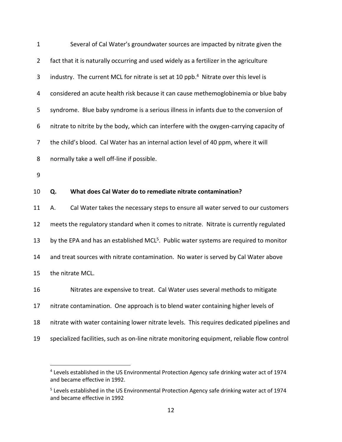| $\mathbf{1}$   | Several of Cal Water's groundwater sources are impacted by nitrate given the                      |
|----------------|---------------------------------------------------------------------------------------------------|
| $\overline{2}$ | fact that it is naturally occurring and used widely as a fertilizer in the agriculture            |
| 3              | industry. The current MCL for nitrate is set at 10 ppb. <sup>4</sup> Nitrate over this level is   |
| 4              | considered an acute health risk because it can cause methemoglobinemia or blue baby               |
| 5              | syndrome. Blue baby syndrome is a serious illness in infants due to the conversion of             |
| 6              | nitrate to nitrite by the body, which can interfere with the oxygen-carrying capacity of          |
| $\overline{7}$ | the child's blood. Cal Water has an internal action level of 40 ppm, where it will                |
| 8              | normally take a well off-line if possible.                                                        |
| 9              |                                                                                                   |
| 10             | What does Cal Water do to remediate nitrate contamination?<br>Q.                                  |
| 11             | Cal Water takes the necessary steps to ensure all water served to our customers<br>А.             |
| 12             | meets the regulatory standard when it comes to nitrate. Nitrate is currently regulated            |
| 13             | by the EPA and has an established MCL <sup>5</sup> . Public water systems are required to monitor |
| 14             | and treat sources with nitrate contamination. No water is served by Cal Water above               |
| 15             | the nitrate MCL.                                                                                  |
| 16             | Nitrates are expensive to treat. Cal Water uses several methods to mitigate                       |
| 17             | nitrate contamination. One approach is to blend water containing higher levels of                 |
| 18             | nitrate with water containing lower nitrate levels. This requires dedicated pipelines and         |
| 19             | specialized facilities, such as on-line nitrate monitoring equipment, reliable flow control       |

 $\overline{a}$ 

<sup>&</sup>lt;sup>4</sup> Levels established in the US Environmental Protection Agency safe drinking water act of 1974 and became effective in 1992.

<sup>&</sup>lt;sup>5</sup> Levels established in the US Environmental Protection Agency safe drinking water act of 1974 and became effective in 1992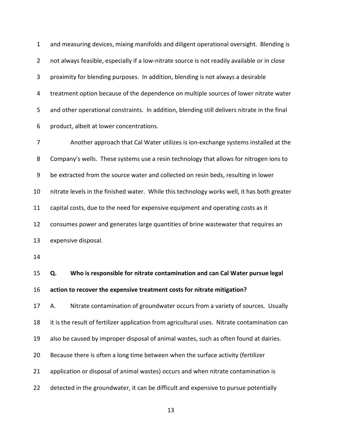1 and measuring devices, mixing manifolds and diligent operational oversight. Blending is 2 not always feasible, especially if a low-nitrate source is not readily available or in close 3 proximity for blending purposes. In addition, blending is not always a desirable 4 treatment option because of the dependence on multiple sources of lower nitrate water 5 and other operational constraints. In addition, blending still delivers nitrate in the final 6 product, albeit at lower concentrations. 7 Another approach that Cal Water utilizes is ion-exchange systems installed at the

8 Company's wells. These systems use a resin technology that allows for nitrogen ions to 9 be extracted from the source water and collected on resin beds, resulting in lower 10 nitrate levels in the finished water. While this technology works well, it has both greater 11 capital costs, due to the need for expensive equipment and operating costs as it 12 consumes power and generates large quantities of brine wastewater that requires an 13 expensive disposal.

14

15 **Q. Who is responsible for nitrate contamination and can Cal Water pursue legal**  16 **action to recover the expensive treatment costs for nitrate mitigation?** 

17 A. Nitrate contamination of groundwater occurs from a variety of sources. Usually 18 it is the result of fertilizer application from agricultural uses. Nitrate contamination can 19 also be caused by improper disposal of animal wastes, such as often found at dairies. 20 Because there is often a long time between when the surface activity (fertilizer 21 application or disposal of animal wastes) occurs and when nitrate contamination is 22 detected in the groundwater, it can be difficult and expensive to pursue potentially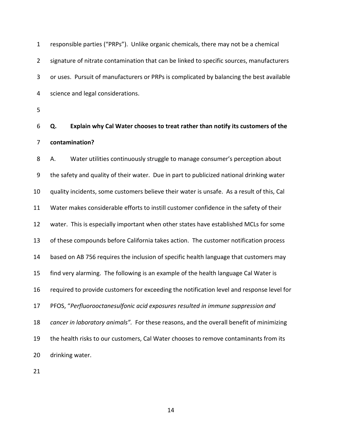1 responsible parties ("PRPs"). Unlike organic chemicals, there may not be a chemical 2 signature of nitrate contamination that can be linked to specific sources, manufacturers 3 or uses. Pursuit of manufacturers or PRPs is complicated by balancing the best available 4 science and legal considerations.

5

6 **Q. Explain why Cal Water chooses to treat rather than notify its customers of the**  7 **contamination?** 

8 A. Water utilities continuously struggle to manage consumer's perception about 9 the safety and quality of their water. Due in part to publicized national drinking water 10 quality incidents, some customers believe their water is unsafe. As a result of this, Cal 11 Water makes considerable efforts to instill customer confidence in the safety of their 12 water. This is especially important when other states have established MCLs for some 13 of these compounds before California takes action. The customer notification process 14 based on AB 756 requires the inclusion of specific health language that customers may 15 find very alarming. The following is an example of the health language Cal Water is 16 required to provide customers for exceeding the notification level and response level for 17 PFOS, "*Perfluorooctanesulfonic acid exposures resulted in immune suppression and*  18 *cancer in laboratory animals".* For these reasons, and the overall benefit of minimizing 19 the health risks to our customers, Cal Water chooses to remove contaminants from its 20 drinking water.

21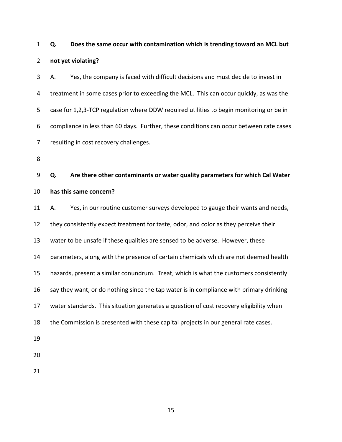1 **Q. Does the same occur with contamination which is trending toward an MCL but**  2 **not yet violating?** 

3 A. Yes, the company is faced with difficult decisions and must decide to invest in 4 treatment in some cases prior to exceeding the MCL. This can occur quickly, as was the 5 case for 1,2,3-TCP regulation where DDW required utilities to begin monitoring or be in 6 compliance in less than 60 days. Further, these conditions can occur between rate cases 7 resulting in cost recovery challenges.

8

9 **Q. Are there other contaminants or water quality parameters for which Cal Water**  10 **has this same concern?** 

11 A. Yes, in our routine customer surveys developed to gauge their wants and needs, 12 they consistently expect treatment for taste, odor, and color as they perceive their 13 water to be unsafe if these qualities are sensed to be adverse. However, these 14 parameters, along with the presence of certain chemicals which are not deemed health 15 hazards, present a similar conundrum. Treat, which is what the customers consistently 16 say they want, or do nothing since the tap water is in compliance with primary drinking 17 water standards. This situation generates a question of cost recovery eligibility when 18 the Commission is presented with these capital projects in our general rate cases. 19

- 20
- 21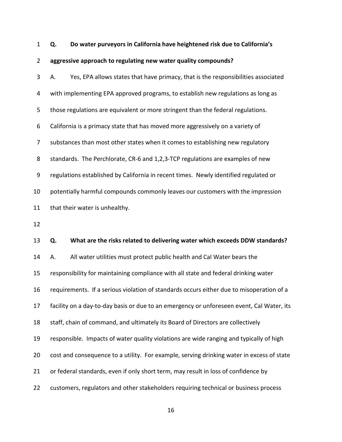1 **Q. Do water purveyors in California have heightened risk due to California's** 

#### 2 **aggressive approach to regulating new water quality compounds?**

3 A. Yes, EPA allows states that have primacy, that is the responsibilities associated 4 with implementing EPA approved programs, to establish new regulations as long as 5 those regulations are equivalent or more stringent than the federal regulations. 6 California is a primacy state that has moved more aggressively on a variety of 7 substances than most other states when it comes to establishing new regulatory 8 standards. The Perchlorate, CR-6 and 1,2,3-TCP regulations are examples of new 9 regulations established by California in recent times. Newly identified regulated or 10 potentially harmful compounds commonly leaves our customers with the impression 11 that their water is unhealthy. 12 13 **Q. What are the risks related to delivering water which exceeds DDW standards?**  14 A. All water utilities must protect public health and Cal Water bears the 15 responsibility for maintaining compliance with all state and federal drinking water 16 requirements. If a serious violation of standards occurs either due to misoperation of a 17 facility on a day-to-day basis or due to an emergency or unforeseen event, Cal Water, its 18 staff, chain of command, and ultimately its Board of Directors are collectively 19 responsible. Impacts of water quality violations are wide ranging and typically of high 20 cost and consequence to a utility. For example, serving drinking water in excess of state

- 21 or federal standards, even if only short term, may result in loss of confidence by
- 22 customers, regulators and other stakeholders requiring technical or business process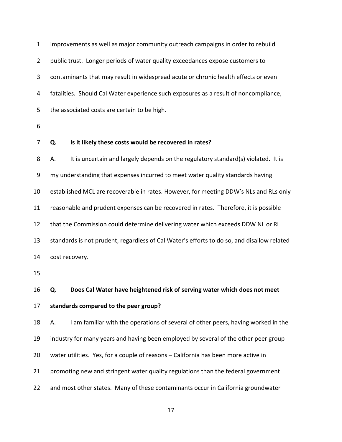| $\mathbf{1}$   | improvements as well as major community outreach campaigns in order to rebuild             |
|----------------|--------------------------------------------------------------------------------------------|
| $\overline{2}$ | public trust. Longer periods of water quality exceedances expose customers to              |
| 3              | contaminants that may result in widespread acute or chronic health effects or even         |
| 4              | fatalities. Should Cal Water experience such exposures as a result of noncompliance,       |
| 5              | the associated costs are certain to be high.                                               |
| 6              |                                                                                            |
| 7              | Is it likely these costs would be recovered in rates?<br>Q.                                |
| 8              | It is uncertain and largely depends on the regulatory standard(s) violated. It is<br>А.    |
| 9              | my understanding that expenses incurred to meet water quality standards having             |
| 10             | established MCL are recoverable in rates. However, for meeting DDW's NLs and RLs only      |
| 11             | reasonable and prudent expenses can be recovered in rates. Therefore, it is possible       |
| 12             | that the Commission could determine delivering water which exceeds DDW NL or RL            |
| 13             | standards is not prudent, regardless of Cal Water's efforts to do so, and disallow related |
| 14             | cost recovery.                                                                             |
| 15             |                                                                                            |
| 16             | Does Cal Water have heightened risk of serving water which does not meet<br>Q.             |
| 17             | standards compared to the peer group?                                                      |
| 18             | I am familiar with the operations of several of other peers, having worked in the<br>А.    |
| 19             | industry for many years and having been employed by several of the other peer group        |
| 20             | water utilities. Yes, for a couple of reasons - California has been more active in         |
| 21             | promoting new and stringent water quality regulations than the federal government          |
| 22             | and most other states. Many of these contaminants occur in California groundwater          |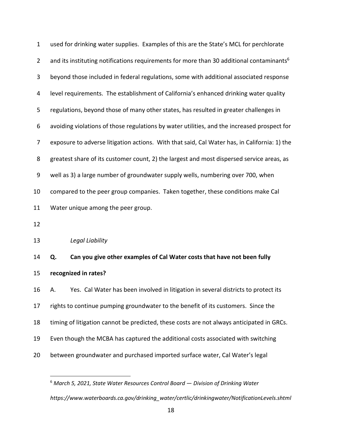1 used for drinking water supplies. Examples of this are the State's MCL for perchlorate 2 and its instituting notifications requirements for more than 30 additional contaminants<sup>6</sup> 3 beyond those included in federal regulations, some with additional associated response 4 level requirements. The establishment of California's enhanced drinking water quality 5 regulations, beyond those of many other states, has resulted in greater challenges in 6 avoiding violations of those regulations by water utilities, and the increased prospect for 7 exposure to adverse litigation actions. With that said, Cal Water has, in California: 1) the 8 greatest share of its customer count, 2) the largest and most dispersed service areas, as 9 well as 3) a large number of groundwater supply wells, numbering over 700, when 10 compared to the peer group companies. Taken together, these conditions make Cal 11 Water unique among the peer group. 12 13 *Legal Liability* 14 **Q. Can you give other examples of Cal Water costs that have not been fully** 

<span id="page-19-0"></span>15 **recognized in rates?** 

 $\overline{a}$ 

16 A. Yes. Cal Water has been involved in litigation in several districts to protect its 17 rights to continue pumping groundwater to the benefit of its customers. Since the 18 timing of litigation cannot be predicted, these costs are not always anticipated in GRCs. 19 Even though the MCBA has captured the additional costs associated with switching 20 between groundwater and purchased imported surface water, Cal Water's legal

<sup>6</sup> *March 5, 2021, State Water Resources Control Board — Division of Drinking Water https://www.waterboards.ca.gov/drinking\_water/certlic/drinkingwater/NotificationLevels.shtml*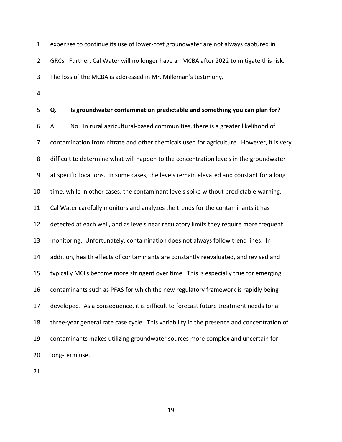1 expenses to continue its use of lower-cost groundwater are not always captured in 2 GRCs. Further, Cal Water will no longer have an MCBA after 2022 to mitigate this risk. 3 The loss of the MCBA is addressed in Mr. Milleman's testimony.

4

5 **Q. Is groundwater contamination predictable and something you can plan for?**  6 A. No. In rural agricultural-based communities, there is a greater likelihood of 7 contamination from nitrate and other chemicals used for agriculture. However, it is very 8 difficult to determine what will happen to the concentration levels in the groundwater 9 at specific locations. In some cases, the levels remain elevated and constant for a long 10 time, while in other cases, the contaminant levels spike without predictable warning. 11 Cal Water carefully monitors and analyzes the trends for the contaminants it has 12 detected at each well, and as levels near regulatory limits they require more frequent 13 monitoring. Unfortunately, contamination does not always follow trend lines. In 14 addition, health effects of contaminants are constantly reevaluated, and revised and 15 typically MCLs become more stringent over time. This is especially true for emerging 16 contaminants such as PFAS for which the new regulatory framework is rapidly being 17 developed. As a consequence, it is difficult to forecast future treatment needs for a 18 three-year general rate case cycle. This variability in the presence and concentration of 19 contaminants makes utilizing groundwater sources more complex and uncertain for 20 long-term use.

21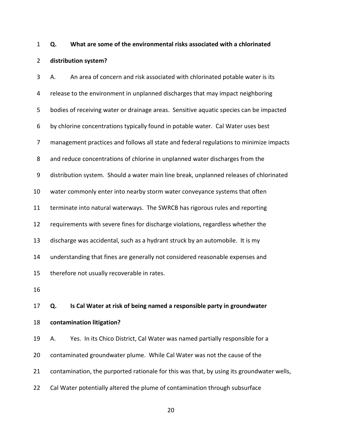## 1 **Q. What are some of the environmental risks associated with a chlorinated**  2 **distribution system?**

3 A. An area of concern and risk associated with chlorinated potable water is its 4 release to the environment in unplanned discharges that may impact neighboring 5 bodies of receiving water or drainage areas. Sensitive aquatic species can be impacted 6 by chlorine concentrations typically found in potable water. Cal Water uses best 7 management practices and follows all state and federal regulations to minimize impacts 8 and reduce concentrations of chlorine in unplanned water discharges from the 9 distribution system. Should a water main line break, unplanned releases of chlorinated 10 water commonly enter into nearby storm water conveyance systems that often 11 terminate into natural waterways. The SWRCB has rigorous rules and reporting 12 requirements with severe fines for discharge violations, regardless whether the 13 discharge was accidental, such as a hydrant struck by an automobile. It is my 14 understanding that fines are generally not considered reasonable expenses and 15 therefore not usually recoverable in rates. 16 17 **Q. Is Cal Water at risk of being named a responsible party in groundwater**  18 **contamination litigation?**  19 A. Yes. In its Chico District, Cal Water was named partially responsible for a 20 contaminated groundwater plume. While Cal Water was not the cause of the 21 contamination, the purported rationale for this was that, by using its groundwater wells, 22 Cal Water potentially altered the plume of contamination through subsurface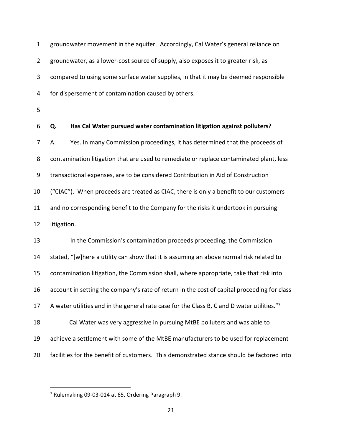1 groundwater movement in the aquifer. Accordingly, Cal Water's general reliance on 2 groundwater, as a lower-cost source of supply, also exposes it to greater risk, as 3 compared to using some surface water supplies, in that it may be deemed responsible 4 for dispersement of contamination caused by others.

5

6 **Q. Has Cal Water pursued water contamination litigation against polluters?**  7 A. Yes. In many Commission proceedings, it has determined that the proceeds of 8 contamination litigation that are used to remediate or replace contaminated plant, less 9 transactional expenses, are to be considered Contribution in Aid of Construction 10 ("CIAC"). When proceeds are treated as CIAC, there is only a benefit to our customers 11 and no corresponding benefit to the Company for the risks it undertook in pursuing 12 litigation.

13 In the Commission's contamination proceeds proceeding, the Commission 14 stated, "[w]here a utility can show that it is assuming an above normal risk related to 15 contamination litigation, the Commission shall, where appropriate, take that risk into 16 account in setting the company's rate of return in the cost of capital proceeding for class 17 A water utilities and in the general rate case for the Class B, C and D water utilities."7 18 Cal Water was very aggressive in pursuing MtBE polluters and was able to 19 achieve a settlement with some of the MtBE manufacturers to be used for replacement 20 facilities for the benefit of customers. This demonstrated stance should be factored into

 $\overline{a}$ 

<sup>&</sup>lt;sup>7</sup> Rulemaking 09-03-014 at 65, Ordering Paragraph 9.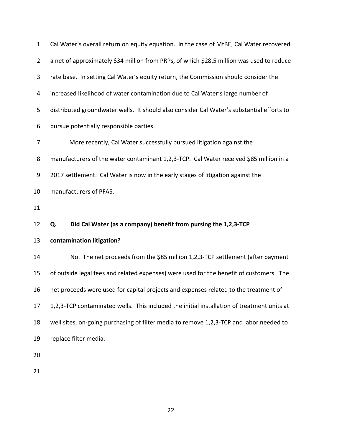| $\mathbf{1}$     | Cal Water's overall return on equity equation. In the case of MtBE, Cal Water recovered    |
|------------------|--------------------------------------------------------------------------------------------|
| $\overline{2}$   | a net of approximately \$34 million from PRPs, of which \$28.5 million was used to reduce  |
| 3                | rate base. In setting Cal Water's equity return, the Commission should consider the        |
| 4                | increased likelihood of water contamination due to Cal Water's large number of             |
| 5                | distributed groundwater wells. It should also consider Cal Water's substantial efforts to  |
| 6                | pursue potentially responsible parties.                                                    |
| 7                | More recently, Cal Water successfully pursued litigation against the                       |
| 8                | manufacturers of the water contaminant 1,2,3-TCP. Cal Water received \$85 million in a     |
| $\boldsymbol{9}$ | 2017 settlement. Cal Water is now in the early stages of litigation against the            |
| 10               | manufacturers of PFAS.                                                                     |
|                  |                                                                                            |
| 11               |                                                                                            |
| 12               | Did Cal Water (as a company) benefit from pursing the 1,2,3-TCP<br>Q.                      |
| 13               | contamination litigation?                                                                  |
| 14               | No. The net proceeds from the \$85 million 1,2,3-TCP settlement (after payment             |
| 15               | of outside legal fees and related expenses) were used for the benefit of customers. The    |
| 16               | net proceeds were used for capital projects and expenses related to the treatment of       |
| 17               | 1,2,3-TCP contaminated wells. This included the initial installation of treatment units at |
| 18               | well sites, on-going purchasing of filter media to remove 1,2,3-TCP and labor needed to    |
| 19               | replace filter media.                                                                      |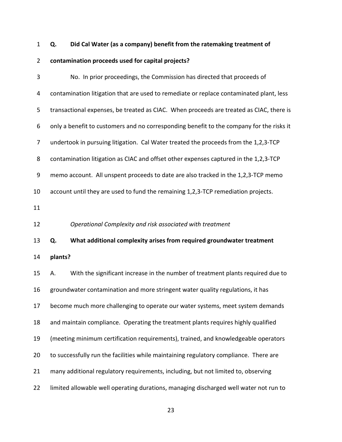## 1 **Q. Did Cal Water (as a company) benefit from the ratemaking treatment of**

## 2 **contamination proceeds used for capital projects?**

<span id="page-24-0"></span>

| 3  | No. In prior proceedings, the Commission has directed that proceeds of                   |
|----|------------------------------------------------------------------------------------------|
| 4  | contamination litigation that are used to remediate or replace contaminated plant, less  |
| 5  | transactional expenses, be treated as CIAC. When proceeds are treated as CIAC, there is  |
| 6  | only a benefit to customers and no corresponding benefit to the company for the risks it |
| 7  | undertook in pursuing litigation. Cal Water treated the proceeds from the 1,2,3-TCP      |
| 8  | contamination litigation as CIAC and offset other expenses captured in the 1,2,3-TCP     |
| 9  | memo account. All unspent proceeds to date are also tracked in the 1,2,3-TCP memo        |
| 10 | account until they are used to fund the remaining 1,2,3-TCP remediation projects.        |
| 11 |                                                                                          |
| 12 | Operational Complexity and risk associated with treatment                                |
|    |                                                                                          |
| 13 | What additional complexity arises from required groundwater treatment<br>Q.              |
| 14 | plants?                                                                                  |
| 15 | With the significant increase in the number of treatment plants required due to<br>А.    |
| 16 | groundwater contamination and more stringent water quality regulations, it has           |
| 17 | become much more challenging to operate our water systems, meet system demands           |
| 18 | and maintain compliance. Operating the treatment plants requires highly qualified        |
| 19 | (meeting minimum certification requirements), trained, and knowledgeable operators       |
| 20 | to successfully run the facilities while maintaining regulatory compliance. There are    |
| 21 | many additional regulatory requirements, including, but not limited to, observing        |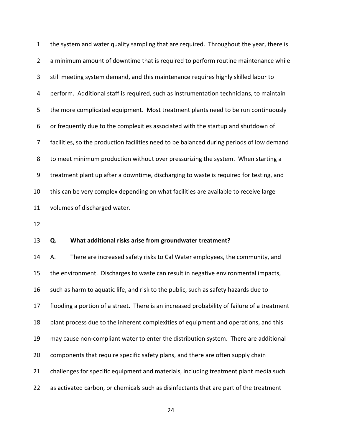1 the system and water quality sampling that are required. Throughout the year, there is 2 a minimum amount of downtime that is required to perform routine maintenance while 3 still meeting system demand, and this maintenance requires highly skilled labor to 4 perform. Additional staff is required, such as instrumentation technicians, to maintain 5 the more complicated equipment. Most treatment plants need to be run continuously 6 or frequently due to the complexities associated with the startup and shutdown of 7 facilities, so the production facilities need to be balanced during periods of low demand 8 to meet minimum production without over pressurizing the system. When starting a 9 treatment plant up after a downtime, discharging to waste is required for testing, and 10 this can be very complex depending on what facilities are available to receive large 11 volumes of discharged water.

12

#### 13 **Q. What additional risks arise from groundwater treatment?**

14 A. There are increased safety risks to Cal Water employees, the community, and 15 the environment. Discharges to waste can result in negative environmental impacts, 16 such as harm to aquatic life, and risk to the public, such as safety hazards due to 17 flooding a portion of a street. There is an increased probability of failure of a treatment 18 plant process due to the inherent complexities of equipment and operations, and this 19 may cause non-compliant water to enter the distribution system. There are additional 20 components that require specific safety plans, and there are often supply chain 21 challenges for specific equipment and materials, including treatment plant media such 22 as activated carbon, or chemicals such as disinfectants that are part of the treatment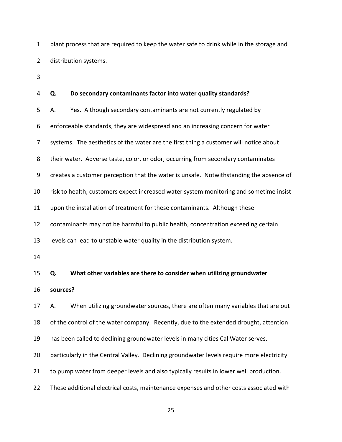1 plant process that are required to keep the water safe to drink while in the storage and 2 distribution systems.

3

# 4 **Q. Do secondary contaminants factor into water quality standards?**  5 A. Yes. Although secondary contaminants are not currently regulated by 6 enforceable standards, they are widespread and an increasing concern for water 7 systems. The aesthetics of the water are the first thing a customer will notice about 8 their water. Adverse taste, color, or odor, occurring from secondary contaminates 9 creates a customer perception that the water is unsafe. Notwithstanding the absence of 10 risk to health, customers expect increased water system monitoring and sometime insist 11 upon the installation of treatment for these contaminants. Although these 12 contaminants may not be harmful to public health, concentration exceeding certain 13 levels can lead to unstable water quality in the distribution system. 14 15 **Q. What other variables are there to consider when utilizing groundwater**  16 **sources?**  17 A. When utilizing groundwater sources, there are often many variables that are out 18 of the control of the water company. Recently, due to the extended drought, attention 19 has been called to declining groundwater levels in many cities Cal Water serves, 20 particularly in the Central Valley. Declining groundwater levels require more electricity 21 to pump water from deeper levels and also typically results in lower well production. 22 These additional electrical costs, maintenance expenses and other costs associated with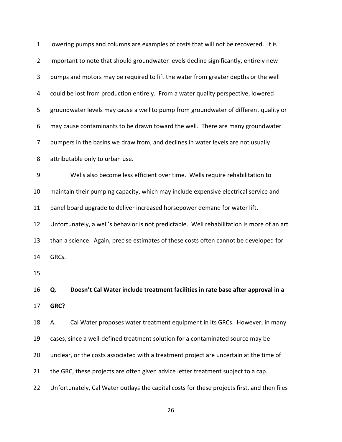| $\mathbf 1$    | lowering pumps and columns are examples of costs that will not be recovered. It is          |
|----------------|---------------------------------------------------------------------------------------------|
| $\overline{2}$ | important to note that should groundwater levels decline significantly, entirely new        |
| 3              | pumps and motors may be required to lift the water from greater depths or the well          |
| 4              | could be lost from production entirely. From a water quality perspective, lowered           |
| 5              | groundwater levels may cause a well to pump from groundwater of different quality or        |
| 6              | may cause contaminants to be drawn toward the well. There are many groundwater              |
| 7              | pumpers in the basins we draw from, and declines in water levels are not usually            |
| 8              | attributable only to urban use.                                                             |
| 9              | Wells also become less efficient over time. Wells require rehabilitation to                 |
| 10             | maintain their pumping capacity, which may include expensive electrical service and         |
| 11             | panel board upgrade to deliver increased horsepower demand for water lift.                  |
| 12             | Unfortunately, a well's behavior is not predictable. Well rehabilitation is more of an art  |
| 13             | than a science. Again, precise estimates of these costs often cannot be developed for       |
| 14             | GRCs.                                                                                       |
| 15             |                                                                                             |
| 16             | Doesn't Cal Water include treatment facilities in rate base after approval in a<br>Q.       |
| 17             | GRC?                                                                                        |
| 18             | Cal Water proposes water treatment equipment in its GRCs. However, in many<br>А.            |
| 19             | cases, since a well-defined treatment solution for a contaminated source may be             |
| 20             | unclear, or the costs associated with a treatment project are uncertain at the time of      |
| 21             | the GRC, these projects are often given advice letter treatment subject to a cap.           |
| 22             | Unfortunately, Cal Water outlays the capital costs for these projects first, and then files |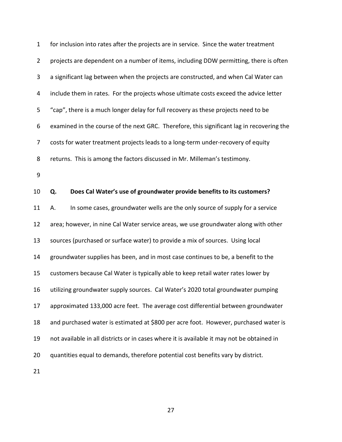| $\mathbf{1}$   | for inclusion into rates after the projects are in service. Since the water treatment      |
|----------------|--------------------------------------------------------------------------------------------|
| $\overline{2}$ | projects are dependent on a number of items, including DDW permitting, there is often      |
| 3              | a significant lag between when the projects are constructed, and when Cal Water can        |
| 4              | include them in rates. For the projects whose ultimate costs exceed the advice letter      |
| 5              | "cap", there is a much longer delay for full recovery as these projects need to be         |
| 6              | examined in the course of the next GRC. Therefore, this significant lag in recovering the  |
| 7              | costs for water treatment projects leads to a long-term under-recovery of equity           |
| 8              | returns. This is among the factors discussed in Mr. Milleman's testimony.                  |
| 9              |                                                                                            |
| 10             | Does Cal Water's use of groundwater provide benefits to its customers?<br>Q.               |
| 11             | In some cases, groundwater wells are the only source of supply for a service<br>Α.         |
| 12             | area; however, in nine Cal Water service areas, we use groundwater along with other        |
| 13             | sources (purchased or surface water) to provide a mix of sources. Using local              |
| 14             | groundwater supplies has been, and in most case continues to be, a benefit to the          |
| 15             | customers because Cal Water is typically able to keep retail water rates lower by          |
| 16             | utilizing groundwater supply sources. Cal Water's 2020 total groundwater pumping           |
| 17             | approximated 133,000 acre feet. The average cost differential between groundwater          |
| 18             | and purchased water is estimated at \$800 per acre foot. However, purchased water is       |
| 19             | not available in all districts or in cases where it is available it may not be obtained in |
| 20             | quantities equal to demands, therefore potential cost benefits vary by district.           |
|                |                                                                                            |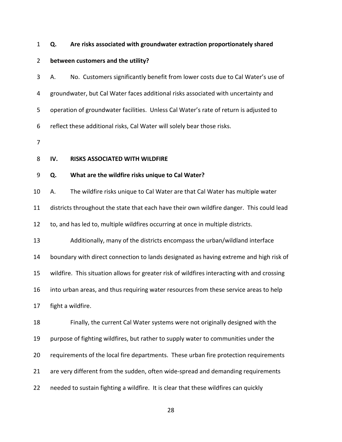#### 1 **Q. Are risks associated with groundwater extraction proportionately shared**

#### 2 **between customers and the utility?**

3 A. No. Customers significantly benefit from lower costs due to Cal Water's use of 4 groundwater, but Cal Water faces additional risks associated with uncertainty and 5 operation of groundwater facilities. Unless Cal Water's rate of return is adjusted to 6 reflect these additional risks, Cal Water will solely bear those risks.

7

#### <span id="page-29-0"></span>8 **IV. RISKS ASSOCIATED WITH WILDFIRE**

#### 9 **Q. What are the wildfire risks unique to Cal Water?**

10 A. The wildfire risks unique to Cal Water are that Cal Water has multiple water

11 districts throughout the state that each have their own wildfire danger. This could lead

12 to, and has led to, multiple wildfires occurring at once in multiple districts.

13 Additionally, many of the districts encompass the urban/wildland interface

14 boundary with direct connection to lands designated as having extreme and high risk of

15 wildfire. This situation allows for greater risk of wildfires interacting with and crossing

16 into urban areas, and thus requiring water resources from these service areas to help

17 fight a wildfire.

18 Finally, the current Cal Water systems were not originally designed with the 19 purpose of fighting wildfires, but rather to supply water to communities under the 20 requirements of the local fire departments. These urban fire protection requirements 21 are very different from the sudden, often wide-spread and demanding requirements 22 needed to sustain fighting a wildfire. It is clear that these wildfires can quickly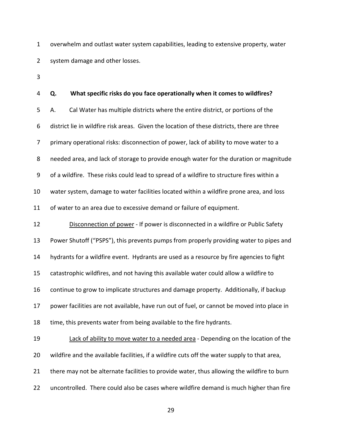1 overwhelm and outlast water system capabilities, leading to extensive property, water 2 system damage and other losses.

3

#### 4 **Q. What specific risks do you face operationally when it comes to wildfires?**

5 A. Cal Water has multiple districts where the entire district, or portions of the 6 district lie in wildfire risk areas. Given the location of these districts, there are three 7 primary operational risks: disconnection of power, lack of ability to move water to a 8 needed area, and lack of storage to provide enough water for the duration or magnitude 9 of a wildfire. These risks could lead to spread of a wildfire to structure fires within a 10 water system, damage to water facilities located within a wildfire prone area, and loss 11 of water to an area due to excessive demand or failure of equipment.

12 Disconnection of power - If power is disconnected in a wildfire or Public Safety 13 Power Shutoff ("PSPS"), this prevents pumps from properly providing water to pipes and 14 hydrants for a wildfire event. Hydrants are used as a resource by fire agencies to fight 15 catastrophic wildfires, and not having this available water could allow a wildfire to 16 continue to grow to implicate structures and damage property. Additionally, if backup 17 power facilities are not available, have run out of fuel, or cannot be moved into place in 18 time, this prevents water from being available to the fire hydrants.

19 Lack of ability to move water to a needed area - Depending on the location of the 20 wildfire and the available facilities, if a wildfire cuts off the water supply to that area, 21 there may not be alternate facilities to provide water, thus allowing the wildfire to burn 22 uncontrolled. There could also be cases where wildfire demand is much higher than fire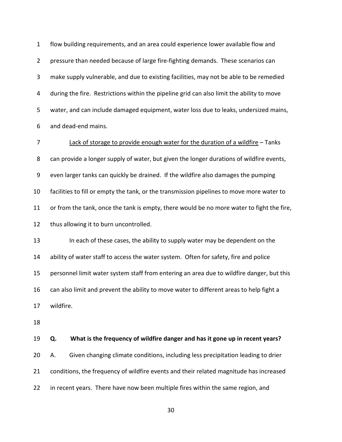1 flow building requirements, and an area could experience lower available flow and 2 pressure than needed because of large fire-fighting demands. These scenarios can 3 make supply vulnerable, and due to existing facilities, may not be able to be remedied 4 during the fire. Restrictions within the pipeline grid can also limit the ability to move 5 water, and can include damaged equipment, water loss due to leaks, undersized mains, 6 and dead-end mains.

7 Lack of storage to provide enough water for the duration of a wildfire – Tanks 8 can provide a longer supply of water, but given the longer durations of wildfire events, 9 even larger tanks can quickly be drained. If the wildfire also damages the pumping 10 facilities to fill or empty the tank, or the transmission pipelines to move more water to 11 or from the tank, once the tank is empty, there would be no more water to fight the fire, 12 thus allowing it to burn uncontrolled.

13 In each of these cases, the ability to supply water may be dependent on the 14 ability of water staff to access the water system. Often for safety, fire and police 15 personnel limit water system staff from entering an area due to wildfire danger, but this 16 can also limit and prevent the ability to move water to different areas to help fight a 17 wildfire.

18

19 **Q. What is the frequency of wildfire danger and has it gone up in recent years?**  20 A. Given changing climate conditions, including less precipitation leading to drier 21 conditions, the frequency of wildfire events and their related magnitude has increased 22 in recent years. There have now been multiple fires within the same region, and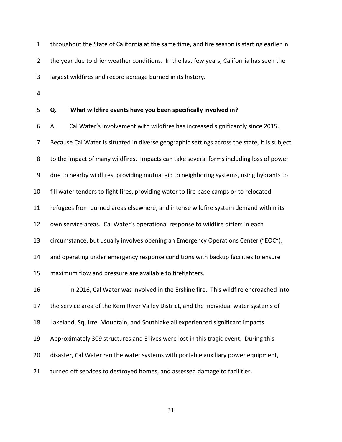1 throughout the State of California at the same time, and fire season is starting earlier in 2 the year due to drier weather conditions. In the last few years, California has seen the 3 largest wildfires and record acreage burned in its history.

4

#### 5 **Q. What wildfire events have you been specifically involved in?**

6 A. Cal Water's involvement with wildfires has increased significantly since 2015. 7 Because Cal Water is situated in diverse geographic settings across the state, it is subject 8 to the impact of many wildfires. Impacts can take several forms including loss of power 9 due to nearby wildfires, providing mutual aid to neighboring systems, using hydrants to 10 fill water tenders to fight fires, providing water to fire base camps or to relocated 11 refugees from burned areas elsewhere, and intense wildfire system demand within its 12 own service areas. Cal Water's operational response to wildfire differs in each 13 circumstance, but usually involves opening an Emergency Operations Center ("EOC"), 14 and operating under emergency response conditions with backup facilities to ensure 15 maximum flow and pressure are available to firefighters. 16 In 2016, Cal Water was involved in the Erskine fire. This wildfire encroached into 17 the service area of the Kern River Valley District, and the individual water systems of 18 Lakeland, Squirrel Mountain, and Southlake all experienced significant impacts. 19 Approximately 309 structures and 3 lives were lost in this tragic event. During this 20 disaster, Cal Water ran the water systems with portable auxiliary power equipment, 21 turned off services to destroyed homes, and assessed damage to facilities.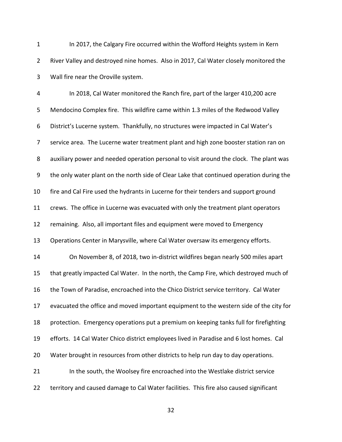1 In 2017, the Calgary Fire occurred within the Wofford Heights system in Kern 2 River Valley and destroyed nine homes. Also in 2017, Cal Water closely monitored the 3 Wall fire near the Oroville system.

4 In 2018, Cal Water monitored the Ranch fire, part of the larger 410,200 acre 5 Mendocino Complex fire. This wildfire came within 1.3 miles of the Redwood Valley 6 District's Lucerne system. Thankfully, no structures were impacted in Cal Water's 7 service area. The Lucerne water treatment plant and high zone booster station ran on 8 auxiliary power and needed operation personal to visit around the clock. The plant was 9 the only water plant on the north side of Clear Lake that continued operation during the 10 fire and Cal Fire used the hydrants in Lucerne for their tenders and support ground 11 crews. The office in Lucerne was evacuated with only the treatment plant operators 12 remaining. Also, all important files and equipment were moved to Emergency 13 Operations Center in Marysville, where Cal Water oversaw its emergency efforts. 14 On November 8, of 2018, two in-district wildfires began nearly 500 miles apart 15 that greatly impacted Cal Water. In the north, the Camp Fire, which destroyed much of 16 the Town of Paradise, encroached into the Chico District service territory. Cal Water 17 evacuated the office and moved important equipment to the western side of the city for 18 protection. Emergency operations put a premium on keeping tanks full for firefighting 19 efforts. 14 Cal Water Chico district employees lived in Paradise and 6 lost homes. Cal 20 Water brought in resources from other districts to help run day to day operations. 21 In the south, the Woolsey fire encroached into the Westlake district service 22 territory and caused damage to Cal Water facilities. This fire also caused significant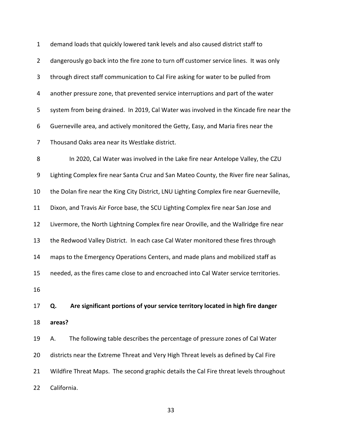1 demand loads that quickly lowered tank levels and also caused district staff to 2 dangerously go back into the fire zone to turn off customer service lines. It was only 3 through direct staff communication to Cal Fire asking for water to be pulled from 4 another pressure zone, that prevented service interruptions and part of the water 5 system from being drained. In 2019, Cal Water was involved in the Kincade fire near the 6 Guerneville area, and actively monitored the Getty, Easy, and Maria fires near the 7 Thousand Oaks area near its Westlake district. 8 In 2020, Cal Water was involved in the Lake fire near Antelope Valley, the CZU 9 Lighting Complex fire near Santa Cruz and San Mateo County, the River fire near Salinas, 10 the Dolan fire near the King City District, LNU Lighting Complex fire near Guerneville, 11 Dixon, and Travis Air Force base, the SCU Lighting Complex fire near San Jose and 12 Livermore, the North Lightning Complex fire near Oroville, and the Wallridge fire near 13 the Redwood Valley District. In each case Cal Water monitored these fires through 14 maps to the Emergency Operations Centers, and made plans and mobilized staff as 15 needed, as the fires came close to and encroached into Cal Water service territories. 16 17 **Q. Are significant portions of your service territory located in high fire danger**  18 **areas?**  19 A. The following table describes the percentage of pressure zones of Cal Water 20 districts near the Extreme Threat and Very High Threat levels as defined by Cal Fire 21 Wildfire Threat Maps. The second graphic details the Cal Fire threat levels throughout 22 California.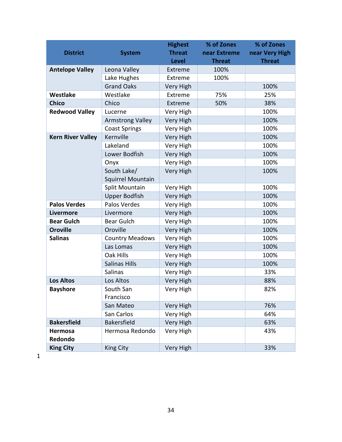|                          |                          | <b>Highest</b>   | % of Zones    | % of Zones     |
|--------------------------|--------------------------|------------------|---------------|----------------|
| <b>District</b>          | <b>System</b>            | <b>Threat</b>    | near Extreme  | near Very High |
|                          |                          | <b>Level</b>     | <b>Threat</b> | <b>Threat</b>  |
| <b>Antelope Valley</b>   | Leona Valley             | Extreme          | 100%          |                |
|                          | Lake Hughes              | Extreme          | 100%          |                |
|                          | <b>Grand Oaks</b>        | Very High        |               | 100%           |
| Westlake                 | Westlake                 | Extreme          | 75%           | 25%            |
| <b>Chico</b>             | Chico                    | Extreme          | 50%           | 38%            |
| <b>Redwood Valley</b>    | Lucerne                  | Very High        |               | 100%           |
|                          | <b>Armstrong Valley</b>  | Very High        |               | 100%           |
|                          | <b>Coast Springs</b>     | Very High        |               | 100%           |
| <b>Kern River Valley</b> | Kernville                | Very High        |               | 100%           |
|                          | Lakeland                 | Very High        |               | 100%           |
|                          | Lower Bodfish            | <b>Very High</b> |               | 100%           |
|                          | Onyx                     | Very High        |               | 100%           |
|                          | South Lake/              | <b>Very High</b> |               | 100%           |
|                          | <b>Squirrel Mountain</b> |                  |               |                |
|                          | Split Mountain           | Very High        |               | 100%           |
|                          | <b>Upper Bodfish</b>     | Very High        |               | 100%           |
| <b>Palos Verdes</b>      | Palos Verdes             | Very High        |               | 100%           |
| <b>Livermore</b>         | Livermore                | <b>Very High</b> |               | 100%           |
| <b>Bear Gulch</b>        | Bear Gulch               | Very High        |               | 100%           |
| <b>Oroville</b>          | Oroville                 | Very High        |               | 100%           |
| <b>Salinas</b>           | <b>Country Meadows</b>   | Very High        |               | 100%           |
|                          | Las Lomas                | Very High        |               | 100%           |
|                          | Oak Hills                | Very High        |               | 100%           |
|                          | <b>Salinas Hills</b>     | <b>Very High</b> |               | 100%           |
|                          | <b>Salinas</b>           | Very High        |               | 33%            |
| <b>Los Altos</b>         | Los Altos                | Very High        |               | 88%            |
| <b>Bayshore</b>          | South San                | Very High        |               | 82%            |
|                          | Francisco                |                  |               |                |
|                          | San Mateo                | Very High        |               | 76%            |
|                          | San Carlos               | Very High        |               | 64%            |
| <b>Bakersfield</b>       | <b>Bakersfield</b>       | <b>Very High</b> |               | 63%            |
| Hermosa                  | Hermosa Redondo          | Very High        |               | 43%            |
| Redondo                  |                          |                  |               |                |
| <b>King City</b>         | King City                | Very High        |               | 33%            |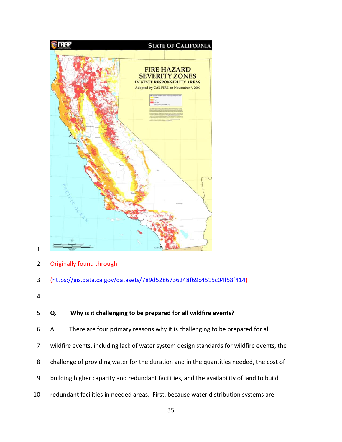

### 2 Originally found through

- 3 [\(https://gis.data.ca.gov/datasets/789d5286736248f69c4515c04f58f414\)](https://gis.data.ca.gov/datasets/789d5286736248f69c4515c04f58f414)
- 4

### 5 **Q. Why is it challenging to be prepared for all wildfire events?**

- 6 A. There are four primary reasons why it is challenging to be prepared for all
- 7 wildfire events, including lack of water system design standards for wildfire events, the
- 8 challenge of providing water for the duration and in the quantities needed, the cost of
- 9 building higher capacity and redundant facilities, and the availability of land to build
- 10 redundant facilities in needed areas. First, because water distribution systems are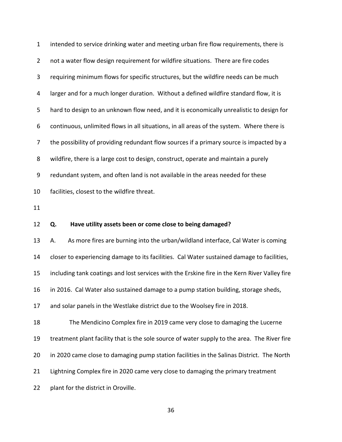1 intended to service drinking water and meeting urban fire flow requirements, there is 2 not a water flow design requirement for wildfire situations. There are fire codes 3 requiring minimum flows for specific structures, but the wildfire needs can be much 4 larger and for a much longer duration. Without a defined wildfire standard flow, it is 5 hard to design to an unknown flow need, and it is economically unrealistic to design for 6 continuous, unlimited flows in all situations, in all areas of the system. Where there is 7 the possibility of providing redundant flow sources if a primary source is impacted by a 8 wildfire, there is a large cost to design, construct, operate and maintain a purely 9 redundant system, and often land is not available in the areas needed for these 10 facilities, closest to the wildfire threat.

11

#### 12 **Q. Have utility assets been or come close to being damaged?**

13 A. As more fires are burning into the urban/wildland interface, Cal Water is coming 14 closer to experiencing damage to its facilities. Cal Water sustained damage to facilities, 15 including tank coatings and lost services with the Erskine fire in the Kern River Valley fire 16 in 2016. Cal Water also sustained damage to a pump station building, storage sheds, 17 and solar panels in the Westlake district due to the Woolsey fire in 2018. 18 The Mendicino Complex fire in 2019 came very close to damaging the Lucerne 19 treatment plant facility that is the sole source of water supply to the area. The River fire

20 in 2020 came close to damaging pump station facilities in the Salinas District. The North

21 Lightning Complex fire in 2020 came very close to damaging the primary treatment

22 plant for the district in Oroville.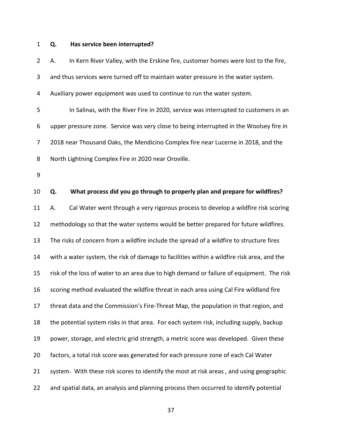## 1 **Q. Has service been interrupted?**

| $\overline{2}$ | А. | In Kern River Valley, with the Erskine fire, customer homes were lost to the fire,         |
|----------------|----|--------------------------------------------------------------------------------------------|
| 3              |    | and thus services were turned off to maintain water pressure in the water system.          |
| 4              |    | Auxiliary power equipment was used to continue to run the water system.                    |
| 5              |    | In Salinas, with the River Fire in 2020, service was interrupted to customers in an        |
| 6              |    | upper pressure zone. Service was very close to being interrupted in the Woolsey fire in    |
| 7              |    | 2018 near Thousand Oaks, the Mendicino Complex fire near Lucerne in 2018, and the          |
| 8              |    | North Lightning Complex Fire in 2020 near Oroville.                                        |
| 9              |    |                                                                                            |
| 10             | Q. | What process did you go through to properly plan and prepare for wildfires?                |
| 11             | А. | Cal Water went through a very rigorous process to develop a wildfire risk scoring          |
| 12             |    | methodology so that the water systems would be better prepared for future wildfires.       |
| 13             |    | The risks of concern from a wildfire include the spread of a wildfire to structure fires   |
| 14             |    | with a water system, the risk of damage to facilities within a wildfire risk area, and the |
| 15             |    | risk of the loss of water to an area due to high demand or failure of equipment. The risk  |
| 16             |    | scoring method evaluated the wildfire threat in each area using Cal Fire wildland fire     |
| 17             |    | threat data and the Commission's Fire-Threat Map, the population in that region, and       |
| 18             |    | the potential system risks in that area. For each system risk, including supply, backup    |
| 19             |    | power, storage, and electric grid strength, a metric score was developed. Given these      |
| 20             |    | factors, a total risk score was generated for each pressure zone of each Cal Water         |
| 21             |    | system. With these risk scores to identify the most at risk areas, and using geographic    |
| 22             |    | and spatial data, an analysis and planning process then occurred to identify potential     |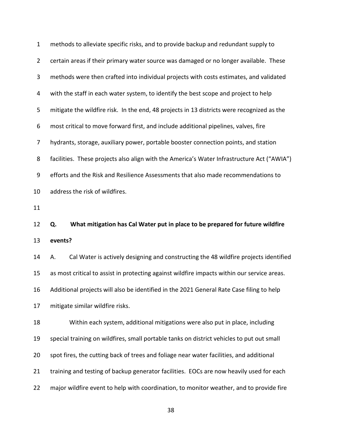| $\mathbf{1}$   | methods to alleviate specific risks, and to provide backup and redundant supply to          |
|----------------|---------------------------------------------------------------------------------------------|
| $\overline{2}$ | certain areas if their primary water source was damaged or no longer available. These       |
| 3              | methods were then crafted into individual projects with costs estimates, and validated      |
| 4              | with the staff in each water system, to identify the best scope and project to help         |
| 5              | mitigate the wildfire risk. In the end, 48 projects in 13 districts were recognized as the  |
| 6              | most critical to move forward first, and include additional pipelines, valves, fire         |
| 7              | hydrants, storage, auxiliary power, portable booster connection points, and station         |
| 8              | facilities. These projects also align with the America's Water Infrastructure Act ("AWIA")  |
| 9              | efforts and the Risk and Resilience Assessments that also made recommendations to           |
| 10             | address the risk of wildfires.                                                              |
| 11             |                                                                                             |
|                |                                                                                             |
| 12             | Q.<br>What mitigation has Cal Water put in place to be prepared for future wildfire         |
| 13             | events?                                                                                     |
| 14             | Cal Water is actively designing and constructing the 48 wildfire projects identified<br>А.  |
| 15             | as most critical to assist in protecting against wildfire impacts within our service areas. |
| 16             | Additional projects will also be identified in the 2021 General Rate Case filing to help    |
| 17             | mitigate similar wildfire risks.                                                            |
| 18             | Within each system, additional mitigations were also put in place, including                |
| 19             | special training on wildfires, small portable tanks on district vehicles to put out small   |
| 20             | spot fires, the cutting back of trees and foliage near water facilities, and additional     |
| 21             | training and testing of backup generator facilities. EOCs are now heavily used for each     |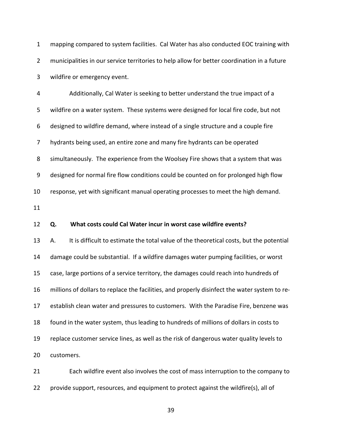1 mapping compared to system facilities. Cal Water has also conducted EOC training with 2 municipalities in our service territories to help allow for better coordination in a future 3 wildfire or emergency event.

4 Additionally, Cal Water is seeking to better understand the true impact of a 5 wildfire on a water system. These systems were designed for local fire code, but not 6 designed to wildfire demand, where instead of a single structure and a couple fire 7 hydrants being used, an entire zone and many fire hydrants can be operated 8 simultaneously. The experience from the Woolsey Fire shows that a system that was 9 designed for normal fire flow conditions could be counted on for prolonged high flow 10 response, yet with significant manual operating processes to meet the high demand.

11

#### 12 **Q. What costs could Cal Water incur in worst case wildfire events?**

13 A. It is difficult to estimate the total value of the theoretical costs, but the potential 14 damage could be substantial. If a wildfire damages water pumping facilities, or worst 15 case, large portions of a service territory, the damages could reach into hundreds of 16 millions of dollars to replace the facilities, and properly disinfect the water system to re-17 establish clean water and pressures to customers. With the Paradise Fire, benzene was 18 found in the water system, thus leading to hundreds of millions of dollars in costs to 19 replace customer service lines, as well as the risk of dangerous water quality levels to 20 customers.

21 Each wildfire event also involves the cost of mass interruption to the company to 22 provide support, resources, and equipment to protect against the wildfire(s), all of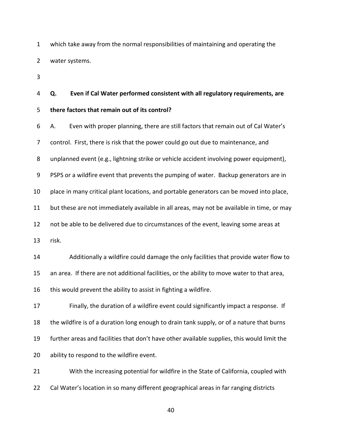1 which take away from the normal responsibilities of maintaining and operating the 2 water systems.

3

# 4 **Q. Even if Cal Water performed consistent with all regulatory requirements, are**

#### 5 **there factors that remain out of its control?**

6 A. Even with proper planning, there are still factors that remain out of Cal Water's 7 control. First, there is risk that the power could go out due to maintenance, and 8 unplanned event (e.g., lightning strike or vehicle accident involving power equipment), 9 PSPS or a wildfire event that prevents the pumping of water. Backup generators are in 10 place in many critical plant locations, and portable generators can be moved into place, 11 but these are not immediately available in all areas, may not be available in time, or may 12 not be able to be delivered due to circumstances of the event, leaving some areas at 13 risk. 14 Additionally a wildfire could damage the only facilities that provide water flow to 15 an area. If there are not additional facilities, or the ability to move water to that area, 16 this would prevent the ability to assist in fighting a wildfire. 17 Finally, the duration of a wildfire event could significantly impact a response. If 18 the wildfire is of a duration long enough to drain tank supply, or of a nature that burns 19 further areas and facilities that don't have other available supplies, this would limit the

20 ability to respond to the wildfire event.

21 With the increasing potential for wildfire in the State of California, coupled with 22 Cal Water's location in so many different geographical areas in far ranging districts